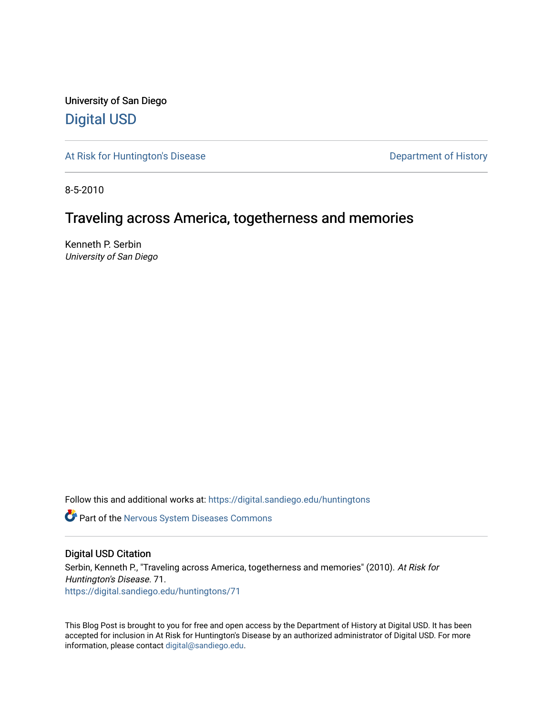University of San Diego [Digital USD](https://digital.sandiego.edu/)

[At Risk for Huntington's Disease](https://digital.sandiego.edu/huntingtons) **Department of History** Department of History

8-5-2010

# Traveling across America, togetherness and memories

Kenneth P. Serbin University of San Diego

Follow this and additional works at: [https://digital.sandiego.edu/huntingtons](https://digital.sandiego.edu/huntingtons?utm_source=digital.sandiego.edu%2Fhuntingtons%2F71&utm_medium=PDF&utm_campaign=PDFCoverPages)

**Part of the [Nervous System Diseases Commons](http://network.bepress.com/hgg/discipline/928?utm_source=digital.sandiego.edu%2Fhuntingtons%2F71&utm_medium=PDF&utm_campaign=PDFCoverPages)** 

# Digital USD Citation

Serbin, Kenneth P., "Traveling across America, togetherness and memories" (2010). At Risk for Huntington's Disease. 71. [https://digital.sandiego.edu/huntingtons/71](https://digital.sandiego.edu/huntingtons/71?utm_source=digital.sandiego.edu%2Fhuntingtons%2F71&utm_medium=PDF&utm_campaign=PDFCoverPages)

This Blog Post is brought to you for free and open access by the Department of History at Digital USD. It has been accepted for inclusion in At Risk for Huntington's Disease by an authorized administrator of Digital USD. For more information, please contact [digital@sandiego.edu.](mailto:digital@sandiego.edu)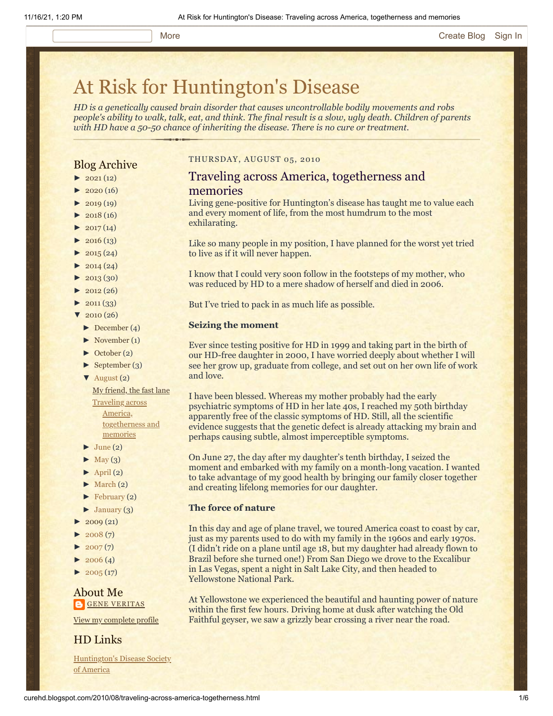# [At Risk for Huntington's Disease](http://curehd.blogspot.com/)

*HD is a genetically caused brain disorder that causes uncontrollable bodily movements and robs people's ability to walk, talk, eat, and think. The final result is a slow, ugly death. Children of parents with HD have a 50-50 chance of inheriting the disease. There is no cure or treatment.*

# Blog Archive

- $\blacktriangleright$  [2021](http://curehd.blogspot.com/2021/)(12)
- $2020(16)$  $2020(16)$
- $\blacktriangleright$  [2019](http://curehd.blogspot.com/2019/) (19)
- $\blacktriangleright$  [2018](http://curehd.blogspot.com/2018/) (16)
- $2017(14)$  $2017(14)$
- $2016(13)$  $2016(13)$  $\blacktriangleright$  [2015](http://curehd.blogspot.com/2015/) (24)
- 
- $\blacktriangleright$  [2014](http://curehd.blogspot.com/2014/) (24)  $\blacktriangleright$  [2013](http://curehd.blogspot.com/2013/) (30)
- $\blacktriangleright$  [2012](http://curehd.blogspot.com/2012/) (26)
- $\blacktriangleright$  [2011](http://curehd.blogspot.com/2011/) (33)
- $\sqrt{2010(26)}$  $\sqrt{2010(26)}$  $\sqrt{2010(26)}$
- [►](javascript:void(0)) [December](http://curehd.blogspot.com/2010/12/) (4)
- [►](javascript:void(0)) [November](http://curehd.blogspot.com/2010/11/) (1)
- [►](javascript:void(0)) [October](http://curehd.blogspot.com/2010/10/) (2)
- $\blacktriangleright$  [September](http://curehd.blogspot.com/2010/09/) (3)
- [▼](javascript:void(0)) [August](http://curehd.blogspot.com/2010/08/) (2)

My [friend,](http://curehd.blogspot.com/2010/08/my-friend-fast-lane.html) the fast lane Traveling across America, [togetherness](http://curehd.blogspot.com/2010/08/traveling-across-america-togetherness.html) and memories

- $\blacktriangleright$  [June](http://curehd.blogspot.com/2010/06/) (2)
- $\blacktriangleright$  [May](http://curehd.blogspot.com/2010/05/) (3)
- $\blacktriangleright$  [April](http://curehd.blogspot.com/2010/04/) (2)
- $\blacktriangleright$  [March](http://curehd.blogspot.com/2010/03/) (2)
- [►](javascript:void(0)) [February](http://curehd.blogspot.com/2010/02/) (2)
- $\blacktriangleright$  [January](http://curehd.blogspot.com/2010/01/) (3)
- [►](javascript:void(0)) [2009](http://curehd.blogspot.com/2009/) (21)
- $2008(7)$  $2008(7)$
- $2007(7)$  $2007(7)$
- $2006(4)$  $2006(4)$
- $2005(17)$  $2005(17)$

# About Me **GENE [VERITAS](https://www.blogger.com/profile/10911736205741688185)**

View my [complete](https://www.blogger.com/profile/10911736205741688185) profile

# HD Links

[Huntington's](http://www.hdsa.org/) Disease Society of America

# THURSDAY, AUGUST 05, 2010

# Traveling across America, togetherness and memories

Living gene-positive for Huntington's disease has taught me to value each and every moment of life, from the most humdrum to the most exhilarating.

Like so many people in my position, I have planned for the worst yet tried to live as if it will never happen.

I know that I could very soon follow in the footsteps of my mother, who was reduced by HD to a mere shadow of herself and died in 2006.

But I've tried to pack in as much life as possible.

### **Seizing the moment**

Ever since testing positive for HD in 1999 and taking part in the birth of our HD-free daughter in 2000, I have worried deeply about whether I will see her grow up, graduate from college, and set out on her own life of work and love.

I have been blessed. Whereas my mother probably had the early psychiatric symptoms of HD in her late 40s, I reached my 50th birthday apparently free of the classic symptoms of HD. Still, all the scientific evidence suggests that the genetic defect is already attacking my brain and perhaps causing subtle, almost imperceptible symptoms.

On June 27, the day after my daughter's tenth birthday, I seized the moment and embarked with my family on a month-long vacation. I wanted to take advantage of my good health by bringing our family closer together and creating lifelong memories for our daughter.

# **The force of nature**

In this day and age of plane travel, we toured America coast to coast by car, just as my parents used to do with my family in the 1960s and early 1970s. (I didn't ride on a plane until age 18, but my daughter had already flown to Brazil before she turned one!) From San Diego we drove to the Excalibur in Las Vegas, spent a night in Salt Lake City, and then headed to Yellowstone National Park.

At Yellowstone we experienced the beautiful and haunting power of nature within the first few hours. Driving home at dusk after watching the Old Faithful geyser, we saw a grizzly bear crossing a river near the road.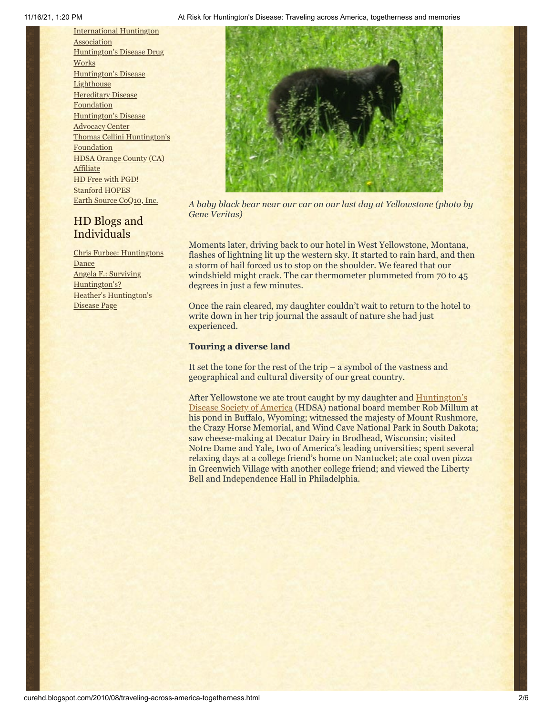[International](http://www.huntington-assoc.com/) Huntington **Association** [Huntington's](http://hddrugworks.org/) Disease Drug **Works** [Huntington's](http://www.hdlighthouse.org/) Disease **Lighthouse [Hereditary](http://www.hdfoundation.org/) Disease Foundation** [Huntington's](http://www.hdac.org/) Disease Advocacy Center Thomas [Cellini Huntington's](http://www.ourtchfoundation.org/) Foundation HDSA Orange County (CA) **[Affiliate](http://www.hdsaoc.org/)** HD Free with [PGD!](http://www.hdfreewithpgd.com/) [Stanford](http://www.stanford.edu/group/hopes/) HOPES Earth Source [CoQ10,](http://www.escoq10.com/) Inc.

# HD Blogs and Individuals

Chris Furbee: [Huntingtons](http://www.huntingtonsdance.org/) Dance Angela F.: Surviving [Huntington's?](http://survivinghuntingtons.blogspot.com/) Heather's [Huntington's](http://heatherdugdale.angelfire.com/) Disease Page



*A baby black bear near our car on our last day at Yellowstone (photo by Gene Veritas)*

Moments later, driving back to our hotel in West Yellowstone, Montana, flashes of lightning lit up the western sky. It started to rain hard, and then a storm of hail forced us to stop on the shoulder. We feared that our windshield might crack. The car thermometer plummeted from 70 to 45 degrees in just a few minutes.

Once the rain cleared, my daughter couldn't wait to return to the hotel to write down in her trip journal the assault of nature she had just experienced.

# **Touring a diverse land**

It set the tone for the rest of the trip – a symbol of the vastness and geographical and cultural diversity of our great country.

After Yellowstone we ate trout caught by my daughter and **Huntington's** Disease Society of America (HDSA) national board member Rob Millum at his pond in Buffalo, Wyoming; witnessed the majesty of Mount Rushmore, the Crazy Horse Memorial, and Wind Cave National Park in South Dakota; saw cheese-making at Decatur Dairy in Brodhead, Wisconsin; visited Notre Dame and Yale, two of America's leading universities; spent several relaxing days at a college friend's home on Nantucket; ate coal oven pizza in Greenwich Village with another college friend; and viewed the Liberty Bell and Independence Hall in Philadelphia.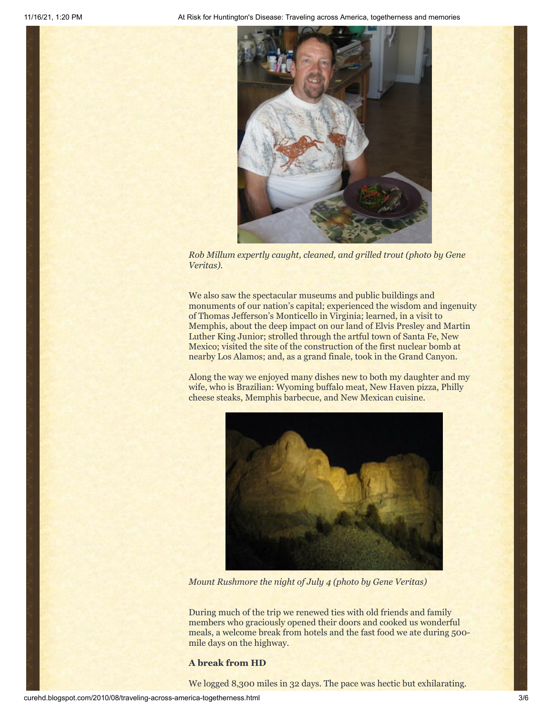

*Rob Millum expertly caught, cleaned, and grilled trout (photo by Gene Veritas).* 

We also saw the spectacular museums and public buildings and monuments of our nation's capital; experienced the wisdom and ingenuity of Thomas Jefferson's Monticello in Virginia; learned, in a visit to Memphis, about the deep impact on our land of Elvis Presley and Martin Luther King Junior; strolled through the artful town of Santa Fe, New Mexico; visited the site of the construction of the first nuclear bomb at nearby Los Alamos; and, as a grand finale, took in the Grand Canyon.

Along the way we enjoyed many dishes new to both my daughter and my wife, who is Brazilian: Wyoming buffalo meat, New Haven pizza, Philly cheese steaks, Memphis barbecue, and New Mexican cuisine.



*Mount Rushmore the night of July 4 (photo by Gene Veritas)*

During much of the trip we renewed ties with old friends and family members who graciously opened their doors and cooked us wonderful meals, a welcome break from hotels and the fast food we ate during 500 mile days on the highway.

### **A break from HD**

We logged 8,300 miles in 32 days. The pace was hectic but exhilarating.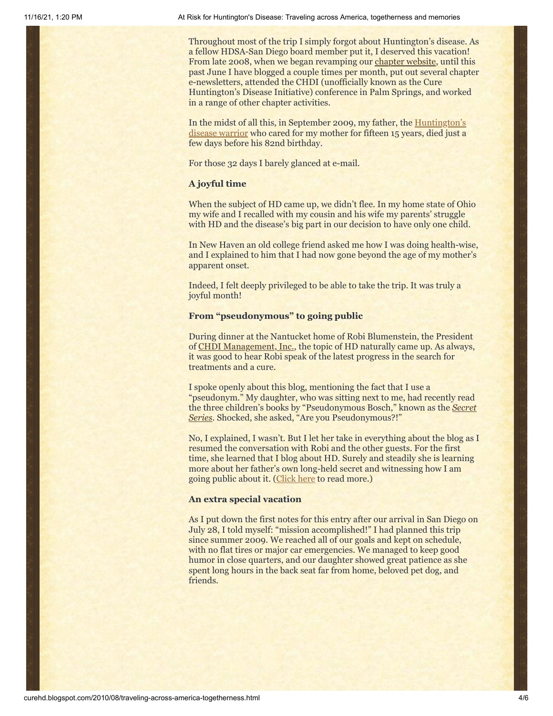Throughout most of the trip I simply forgot about Huntington's disease. As a fellow HDSA-San Diego board member put it, I deserved this vacation! From late 2008, when we began revamping our [chapter website,](http://www.hdsasandiego.org/) until this past June I have blogged a couple times per month, put out several chapter e-newsletters, attended the CHDI (unofficially known as the Cure Huntington's Disease Initiative) conference in Palm Springs, and worked in a range of other chapter activities.

[In the midst of all this, in September 2009, my father, the Huntington's](http://curehd.blogspot.com/2009/04/huntingtons-warrior-lays-down-his.html) disease warrior who cared for my mother for fifteen 15 years, died just a few days before his 82nd birthday.

For those 32 days I barely glanced at e-mail.

## **A joyful time**

When the subject of HD came up, we didn't flee. In my home state of Ohio my wife and I recalled with my cousin and his wife my parents' struggle with HD and the disease's big part in our decision to have only one child.

In New Haven an old college friend asked me how I was doing health-wise, and I explained to him that I had now gone beyond the age of my mother's apparent onset.

Indeed, I felt deeply privileged to be able to take the trip. It was truly a joyful month!

### **From "pseudonymous" to going public**

During dinner at the Nantucket home of Robi Blumenstein, the President of [CHDI Management, Inc.,](http://www.highqfoundation.org/) the topic of HD naturally came up. As always, it was good to hear Robi speak of the latest progress in the search for treatments and a cure.

I spoke openly about this blog, mentioning the fact that I use a "pseudonym." My daughter, who was sitting next to me, had recently read [the three children's books by "Pseudonymous Bosch," known as the](http://www.amazon.com/Pseudonymous-Bosch/e/B001IGNIS6/ref=sr_ntt_srch_lnk_1?qid=1281072591&sr=1-1) *Secret Series*. Shocked, she asked, "Are you Pseudonymous?!"

No, I explained, I wasn't. But I let her take in everything about the blog as I resumed the conversation with Robi and the other guests. For the first time, she learned that I blog about HD. Surely and steadily she is learning more about her father's own long-held secret and witnessing how I am going public about it. ([Click here](http://curehd.blogspot.com/2010/06/charting-new-territory-going-public.html) to read more.)

### **An extra special vacation**

As I put down the first notes for this entry after our arrival in San Diego on July 28, I told myself: "mission accomplished!" I had planned this trip since summer 2009. We reached all of our goals and kept on schedule, with no flat tires or major car emergencies. We managed to keep good humor in close quarters, and our daughter showed great patience as she spent long hours in the back seat far from home, beloved pet dog, and friends.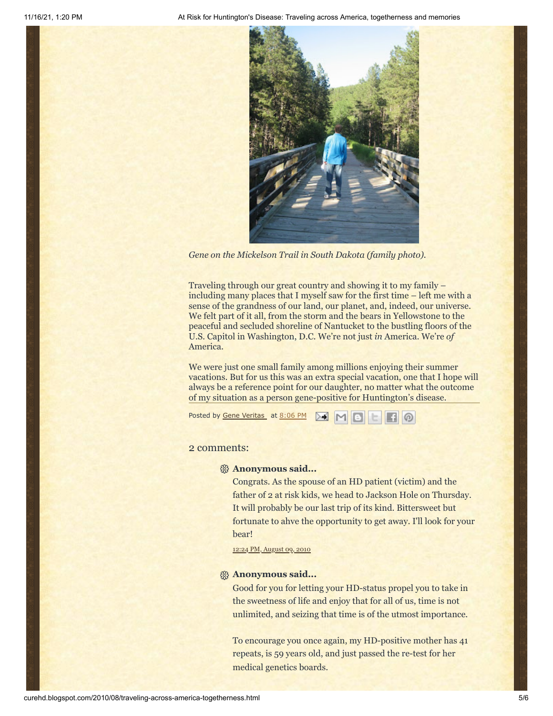11/16/21, 1:20 PM At Risk for Huntington's Disease: Traveling across America, togetherness and memories



*Gene on the Mickelson Trail in South Dakota (family photo).*

Traveling through our great country and showing it to my family – including many places that I myself saw for the first time – left me with a sense of the grandness of our land, our planet, and, indeed, our universe. We felt part of it all, from the storm and the bears in Yellowstone to the peaceful and secluded shoreline of Nantucket to the bustling floors of the U.S. Capitol in Washington, D.C. We're not just *in* America. We're *of* America.

We were just one small family among millions enjoying their summer vacations. But for us this was an extra special vacation, one that I hope will always be a reference point for our daughter, no matter what the outcome of my situation as a person gene-positive for Huntington's disease.

Posted by Gene [Veritas](https://www.blogger.com/profile/03599828959793084715) at [8:06](http://curehd.blogspot.com/2010/08/traveling-across-america-togetherness.html) PM

## 2 comments:

### **Anonymous said...**

Congrats. As the spouse of an HD patient (victim) and the father of 2 at risk kids, we head to Jackson Hole on Thursday. It will probably be our last trip of its kind. Bittersweet but fortunate to ahve the opportunity to get away. I'll look for your bear!

12:24 PM, [August](http://curehd.blogspot.com/2010/08/traveling-across-america-togetherness.html?showComment=1281381860884#c4304788311978374502) 09, 2010

### **Anonymous said...**

Good for you for letting your HD-status propel you to take in the sweetness of life and enjoy that for all of us, time is not unlimited, and seizing that time is of the utmost importance.

To encourage you once again, my HD-positive mother has 41 repeats, is 59 years old, and just passed the re-test for her medical genetics boards.